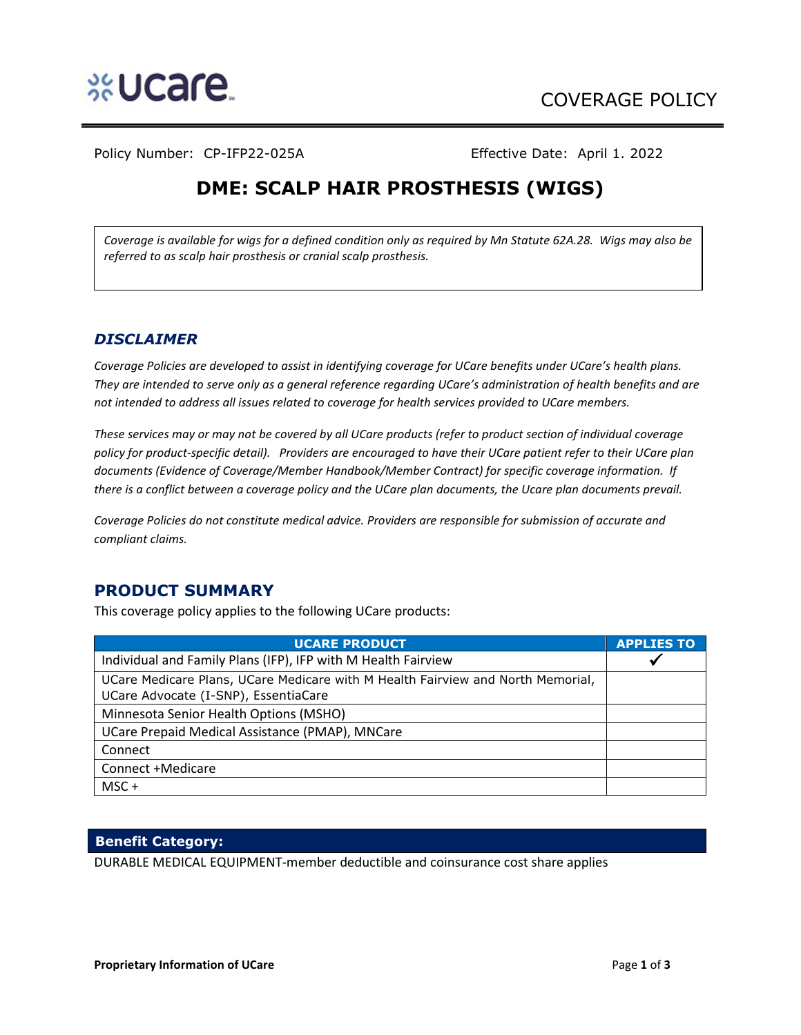

Policy Number: CP-IFP22-025A Effective Date: April 1. 2022

# **DME: SCALP HAIR PROSTHESIS (WIGS)**

*Coverage is available for wigs for a defined condition only as required by Mn Statute 62A.28. Wigs may also be referred to as scalp hair prosthesis or cranial scalp prosthesis.* 

## *DISCLAIMER*

*Coverage Policies are developed to assist in identifying coverage for UCare benefits under UCare's health plans. They are intended to serve only as a general reference regarding UCare's administration of health benefits and are not intended to address all issues related to coverage for health services provided to UCare members.* 

*These services may or may not be covered by all UCare products (refer to product section of individual coverage policy for product-specific detail). Providers are encouraged to have their UCare patient refer to their UCare plan documents (Evidence of Coverage/Member Handbook/Member Contract) for specific coverage information. If there is a conflict between a coverage policy and the UCare plan documents, the Ucare plan documents prevail.* 

*Coverage Policies do not constitute medical advice. Providers are responsible for submission of accurate and compliant claims.* 

# **PRODUCT SUMMARY**

This coverage policy applies to the following UCare products:

| <b>UCARE PRODUCT</b>                                                            | <b>APPLIES TO</b> |
|---------------------------------------------------------------------------------|-------------------|
| Individual and Family Plans (IFP), IFP with M Health Fairview                   |                   |
| UCare Medicare Plans, UCare Medicare with M Health Fairview and North Memorial, |                   |
| UCare Advocate (I-SNP), EssentiaCare                                            |                   |
| Minnesota Senior Health Options (MSHO)                                          |                   |
| UCare Prepaid Medical Assistance (PMAP), MNCare                                 |                   |
| Connect                                                                         |                   |
| Connect +Medicare                                                               |                   |
| MSC+                                                                            |                   |

#### **Benefit Category:**

DURABLE MEDICAL EQUIPMENT-member deductible and coinsurance cost share applies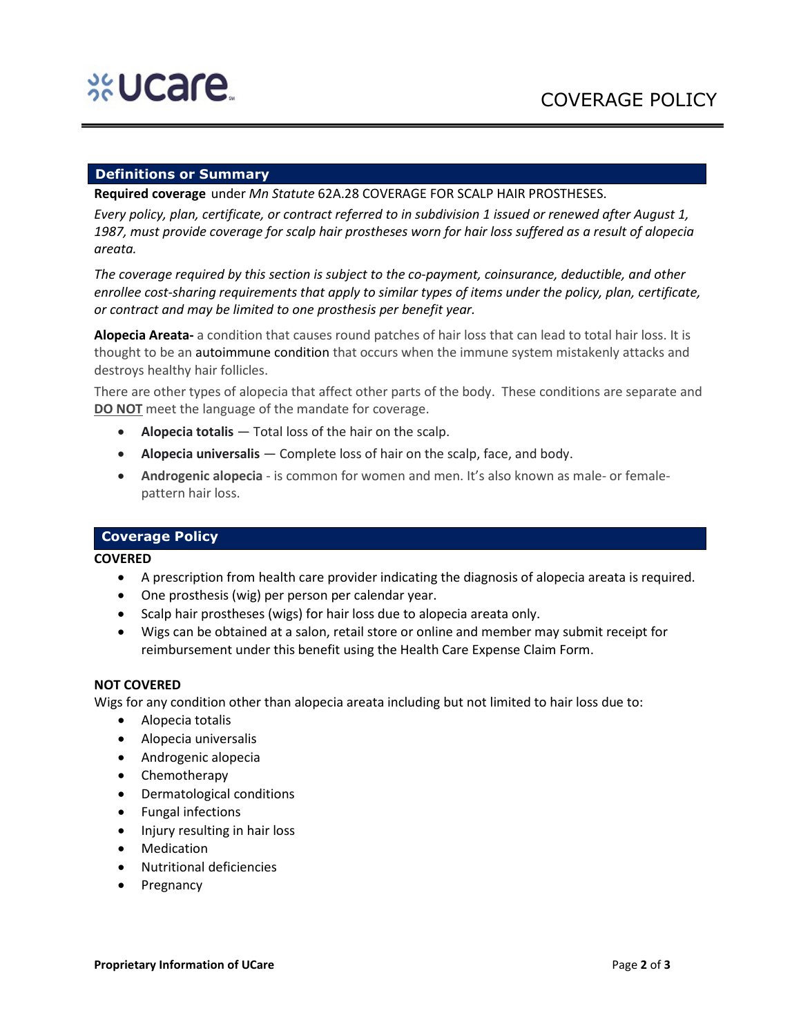## **Definitions or Summary**

**Required coverage** under *Mn Statute* 62A.28 COVERAGE FOR SCALP HAIR PROSTHESES.

*Every policy, plan, certificate, or contract referred to in subdivision 1 issued or renewed after August 1, 1987, must provide coverage for scalp hair prostheses worn for hair loss suffered as a result of alopecia areata.*

*The coverage required by this section is subject to the co-payment, coinsurance, deductible, and other enrollee cost-sharing requirements that apply to similar types of items under the policy, plan, certificate, or contract and may be limited to one prosthesis per benefit year.*

**Alopecia Areata-** a condition that causes round patches of hair loss that can lead to total hair loss. It is thought to be an autoimmune condition that occurs when the immune system mistakenly attacks and destroys healthy hair follicles.

There are other types of alopecia that affect other parts of the body. These conditions are separate and **DO NOT** meet the language of the mandate for coverage.

- **Alopecia totalis** Total loss of the hair on the scalp.
- **Alopecia universalis** Complete loss of hair on the scalp, face, and body.
- **Androgenic alopecia** is common for women and men. It's also known as male- or femalepattern hair loss.

#### **Coverage Policy**

**COVERED**

- A prescription from health care provider indicating the diagnosis of alopecia areata is required.
- One prosthesis (wig) per person per calendar year.
- Scalp hair prostheses (wigs) for hair loss due to alopecia areata only.
- Wigs can be obtained at a salon, retail store or online and member may submit receipt for reimbursement under this benefit using the Health Care Expense Claim Form.

#### **NOT COVERED**

Wigs for any condition other than alopecia areata including but not limited to hair loss due to:

- Alopecia totalis
- Alopecia universalis
- Androgenic alopecia
- Chemotherapy
- Dermatological conditions
- Fungal infections
- Injury resulting in hair loss
- **Medication**
- Nutritional deficiencies
- **Pregnancy**